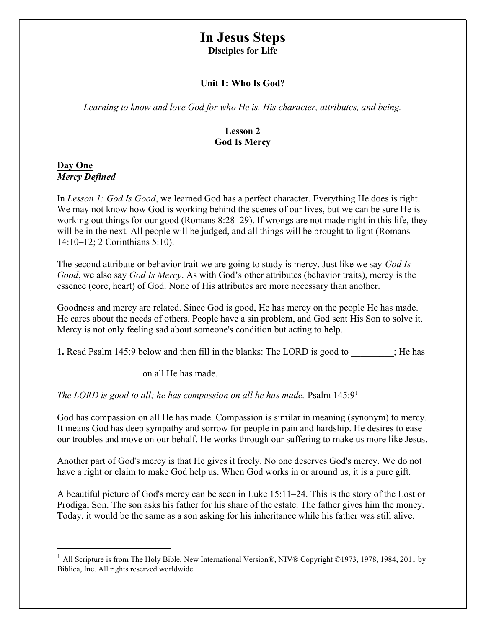# In Jesus Steps

Disciples for Life

## Unit 1: Who Is God?

Learning to know and love God for who He is, His character, attributes, and being.

# Lesson 2 God Is Mercy

#### Day One Mercy Defined

In Lesson 1: God Is Good, we learned God has a perfect character. Everything He does is right. We may not know how God is working behind the scenes of our lives, but we can be sure He is working out things for our good (Romans 8:28–29). If wrongs are not made right in this life, they will be in the next. All people will be judged, and all things will be brought to light (Romans 14:10–12; 2 Corinthians 5:10).

The second attribute or behavior trait we are going to study is mercy. Just like we say God Is Good, we also say God Is Mercy. As with God's other attributes (behavior traits), mercy is the essence (core, heart) of God. None of His attributes are more necessary than another.

Goodness and mercy are related. Since God is good, He has mercy on the people He has made. He cares about the needs of others. People have a sin problem, and God sent His Son to solve it. Mercy is not only feeling sad about someone's condition but acting to help.

1. Read Psalm 145:9 below and then fill in the blanks: The LORD is good to  $\cdot$ ; He has

\_\_\_\_\_\_\_\_\_\_\_\_\_\_\_\_\_\_on all He has made.

The LORD is good to all; he has compassion on all he has made. Psalm  $145:9<sup>1</sup>$ 

God has compassion on all He has made. Compassion is similar in meaning (synonym) to mercy. It means God has deep sympathy and sorrow for people in pain and hardship. He desires to ease our troubles and move on our behalf. He works through our suffering to make us more like Jesus.

Another part of God's mercy is that He gives it freely. No one deserves God's mercy. We do not have a right or claim to make God help us. When God works in or around us, it is a pure gift.

A beautiful picture of God's mercy can be seen in Luke 15:11–24. This is the story of the Lost or Prodigal Son. The son asks his father for his share of the estate. The father gives him the money. Today, it would be the same as a son asking for his inheritance while his father was still alive.

<sup>&</sup>lt;sup>1</sup> All Scripture is from The Holy Bible, New International Version®, NIV® Copyright ©1973, 1978, 1984, 2011 by Biblica, Inc. All rights reserved worldwide.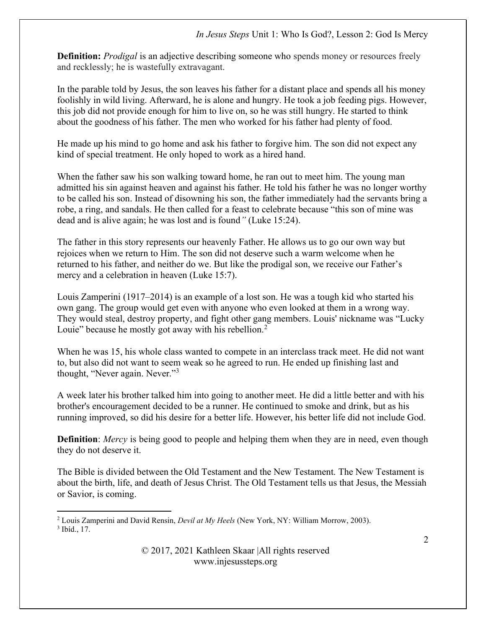**Definition:** *Prodigal* is an adjective describing someone who spends money or resources freely and recklessly; he is wastefully extravagant.

In the parable told by Jesus, the son leaves his father for a distant place and spends all his money foolishly in wild living. Afterward, he is alone and hungry. He took a job feeding pigs. However, this job did not provide enough for him to live on, so he was still hungry. He started to think about the goodness of his father. The men who worked for his father had plenty of food.

He made up his mind to go home and ask his father to forgive him. The son did not expect any kind of special treatment. He only hoped to work as a hired hand.

When the father saw his son walking toward home, he ran out to meet him. The young man admitted his sin against heaven and against his father. He told his father he was no longer worthy to be called his son. Instead of disowning his son, the father immediately had the servants bring a robe, a ring, and sandals. He then called for a feast to celebrate because "this son of mine was dead and is alive again; he was lost and is found" (Luke 15:24).

The father in this story represents our heavenly Father. He allows us to go our own way but rejoices when we return to Him. The son did not deserve such a warm welcome when he returned to his father, and neither do we. But like the prodigal son, we receive our Father's mercy and a celebration in heaven (Luke 15:7).

Louis Zamperini (1917–2014) is an example of a lost son. He was a tough kid who started his own gang. The group would get even with anyone who even looked at them in a wrong way. They would steal, destroy property, and fight other gang members. Louis' nickname was "Lucky Louie" because he mostly got away with his rebellion.<sup>2</sup>

When he was 15, his whole class wanted to compete in an interclass track meet. He did not want to, but also did not want to seem weak so he agreed to run. He ended up finishing last and thought, "Never again. Never."<sup>3</sup>

A week later his brother talked him into going to another meet. He did a little better and with his brother's encouragement decided to be a runner. He continued to smoke and drink, but as his running improved, so did his desire for a better life. However, his better life did not include God.

**Definition**: Mercy is being good to people and helping them when they are in need, even though they do not deserve it.

The Bible is divided between the Old Testament and the New Testament. The New Testament is about the birth, life, and death of Jesus Christ. The Old Testament tells us that Jesus, the Messiah or Savior, is coming.

<sup>&</sup>lt;sup>2</sup> Louis Zamperini and David Rensin, *Devil at My Heels* (New York, NY: William Morrow, 2003). 3 Ibíd., 17.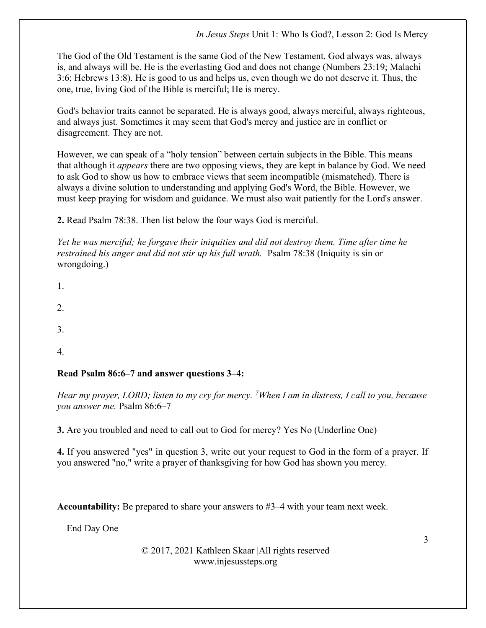The God of the Old Testament is the same God of the New Testament. God always was, always is, and always will be. He is the everlasting God and does not change (Numbers 23:19; Malachi 3:6; Hebrews 13:8). He is good to us and helps us, even though we do not deserve it. Thus, the one, true, living God of the Bible is merciful; He is mercy.

God's behavior traits cannot be separated. He is always good, always merciful, always righteous, and always just. Sometimes it may seem that God's mercy and justice are in conflict or disagreement. They are not.

However, we can speak of a "holy tension" between certain subjects in the Bible. This means that although it appears there are two opposing views, they are kept in balance by God. We need to ask God to show us how to embrace views that seem incompatible (mismatched). There is always a divine solution to understanding and applying God's Word, the Bible. However, we must keep praying for wisdom and guidance. We must also wait patiently for the Lord's answer.

2. Read Psalm 78:38. Then list below the four ways God is merciful.

Yet he was merciful; he forgave their iniquities and did not destroy them. Time after time he restrained his anger and did not stir up his full wrath. Psalm 78:38 (Iniquity is sin or wrongdoing.)

- 1.
- 2.
- 3.
- 4.

## Read Psalm 86:6–7 and answer questions 3–4:

Hear my prayer, LORD; listen to my cry for mercy. <sup>7</sup>When I am in distress, I call to you, because you answer me. Psalm 86:6–7

3. Are you troubled and need to call out to God for mercy? Yes No (Underline One)

4. If you answered "yes" in question 3, write out your request to God in the form of a prayer. If you answered "no," write a prayer of thanksgiving for how God has shown you mercy.

Accountability: Be prepared to share your answers to #3–4 with your team next week.

—End Day One—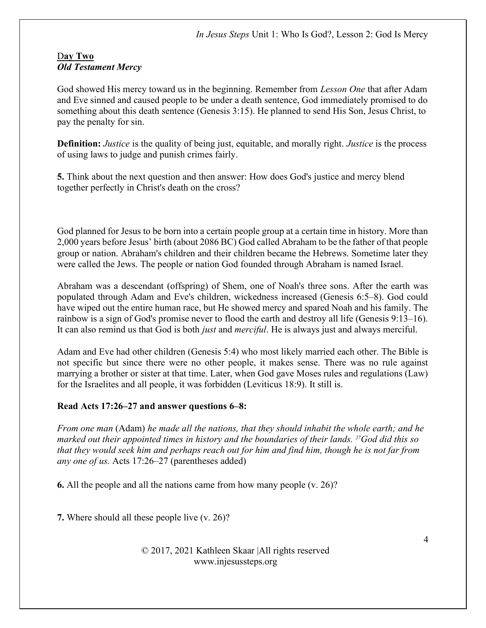#### Day Two Old Testament Mercy

God showed His mercy toward us in the beginning. Remember from *Lesson One* that after Adam and Eve sinned and caused people to be under a death sentence, God immediately promised to do something about this death sentence (Genesis 3:15). He planned to send His Son, Jesus Christ, to pay the penalty for sin.

**Definition:** Justice is the quality of being just, equitable, and morally right. Justice is the process of using laws to judge and punish crimes fairly.

5. Think about the next question and then answer: How does God's justice and mercy blend together perfectly in Christ's death on the cross?

God planned for Jesus to be born into a certain people group at a certain time in history. More than 2,000 years before Jesus' birth (about 2086 BC) God called Abraham to be the father of that people group or nation. Abraham's children and their children became the Hebrews. Sometime later they were called the Jews. The people or nation God founded through Abraham is named Israel.

Abraham was a descendant (offspring) of Shem, one of Noah's three sons. After the earth was populated through Adam and Eve's children, wickedness increased (Genesis 6:5–8). God could have wiped out the entire human race, but He showed mercy and spared Noah and his family. The rainbow is a sign of God's promise never to flood the earth and destroy all life (Genesis 9:13–16). It can also remind us that God is both just and merciful. He is always just and always merciful.

Adam and Eve had other children (Genesis 5:4) who most likely married each other. The Bible is not specific but since there were no other people, it makes sense. There was no rule against marrying a brother or sister at that time. Later, when God gave Moses rules and regulations (Law) for the Israelites and all people, it was forbidden (Leviticus 18:9). It still is.

# Read Acts 17:26–27 and answer questions 6–8:

From one man (Adam) he made all the nations, that they should inhabit the whole earth; and he marked out their appointed times in history and the boundaries of their lands. <sup>27</sup>God did this so that they would seek him and perhaps reach out for him and find him, though he is not far from any one of us. Acts 17:26–27 (parentheses added)

6. All the people and all the nations came from how many people (v. 26)?

7. Where should all these people live (v. 26)?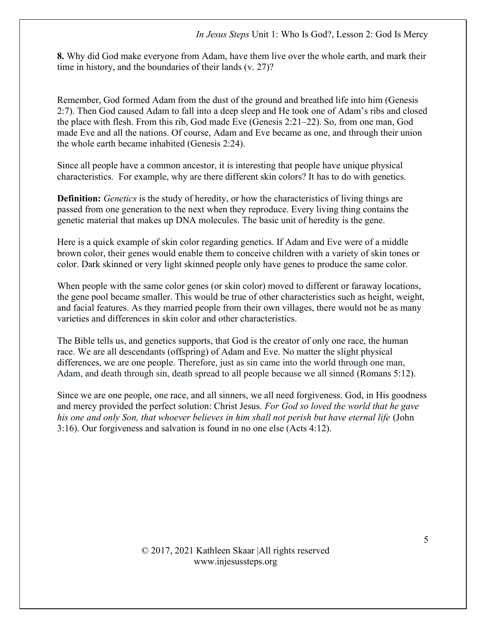8. Why did God make everyone from Adam, have them live over the whole earth, and mark their time in history, and the boundaries of their lands (v. 27)?

Remember, God formed Adam from the dust of the ground and breathed life into him (Genesis 2:7). Then God caused Adam to fall into a deep sleep and He took one of Adam's ribs and closed the place with flesh. From this rib, God made Eve (Genesis 2:21–22). So, from one man, God made Eve and all the nations. Of course, Adam and Eve became as one, and through their union the whole earth became inhabited (Genesis 2:24).

Since all people have a common ancestor, it is interesting that people have unique physical characteristics. For example, why are there different skin colors? It has to do with genetics.

**Definition:** Genetics is the study of heredity, or how the characteristics of living things are passed from one generation to the next when they reproduce. Every living thing contains the genetic material that makes up DNA molecules. The basic unit of heredity is the gene.

Here is a quick example of skin color regarding genetics. If Adam and Eve were of a middle brown color, their genes would enable them to conceive children with a variety of skin tones or color. Dark skinned or very light skinned people only have genes to produce the same color.

When people with the same color genes (or skin color) moved to different or faraway locations, the gene pool became smaller. This would be true of other characteristics such as height, weight, and facial features. As they married people from their own villages, there would not be as many varieties and differences in skin color and other characteristics.

The Bible tells us, and genetics supports, that God is the creator of only one race, the human race. We are all descendants (offspring) of Adam and Eve. No matter the slight physical differences, we are one people. Therefore, just as sin came into the world through one man, Adam, and death through sin, death spread to all people because we all sinned (Romans 5:12).

Since we are one people, one race, and all sinners, we all need forgiveness. God, in His goodness and mercy provided the perfect solution: Christ Jesus. For God so loved the world that he gave his one and only Son, that whoever believes in him shall not perish but have eternal life (John 3:16). Our forgiveness and salvation is found in no one else (Acts 4:12).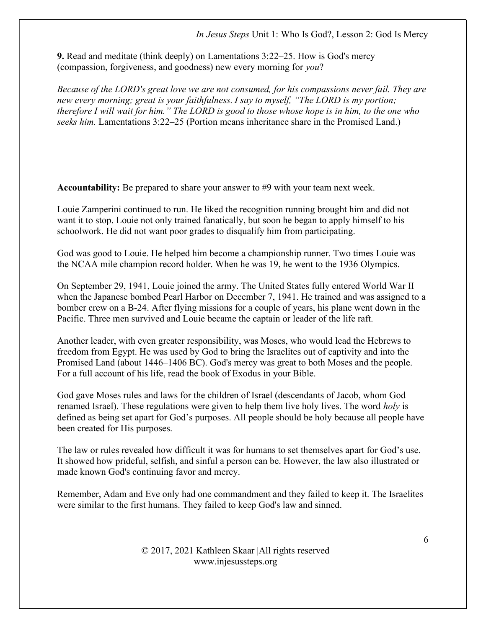9. Read and meditate (think deeply) on Lamentations 3:22–25. How is God's mercy (compassion, forgiveness, and goodness) new every morning for you?

Because of the LORD's great love we are not consumed, for his compassions never fail. They are new every morning; great is your faithfulness. I say to myself, "The LORD is my portion; therefore I will wait for him." The LORD is good to those whose hope is in him, to the one who seeks him. Lamentations 3:22–25 (Portion means inheritance share in the Promised Land.)

Accountability: Be prepared to share your answer to #9 with your team next week.

Louie Zamperini continued to run. He liked the recognition running brought him and did not want it to stop. Louie not only trained fanatically, but soon he began to apply himself to his schoolwork. He did not want poor grades to disqualify him from participating.

God was good to Louie. He helped him become a championship runner. Two times Louie was the NCAA mile champion record holder. When he was 19, he went to the 1936 Olympics.

On September 29, 1941, Louie joined the army. The United States fully entered World War II when the Japanese bombed Pearl Harbor on December 7, 1941. He trained and was assigned to a bomber crew on a B-24. After flying missions for a couple of years, his plane went down in the Pacific. Three men survived and Louie became the captain or leader of the life raft.

Another leader, with even greater responsibility, was Moses, who would lead the Hebrews to freedom from Egypt. He was used by God to bring the Israelites out of captivity and into the Promised Land (about 1446–1406 BC). God's mercy was great to both Moses and the people. For a full account of his life, read the book of Exodus in your Bible.

God gave Moses rules and laws for the children of Israel (descendants of Jacob, whom God renamed Israel). These regulations were given to help them live holy lives. The word *holy* is defined as being set apart for God's purposes. All people should be holy because all people have been created for His purposes.

The law or rules revealed how difficult it was for humans to set themselves apart for God's use. It showed how prideful, selfish, and sinful a person can be. However, the law also illustrated or made known God's continuing favor and mercy.

Remember, Adam and Eve only had one commandment and they failed to keep it. The Israelites were similar to the first humans. They failed to keep God's law and sinned.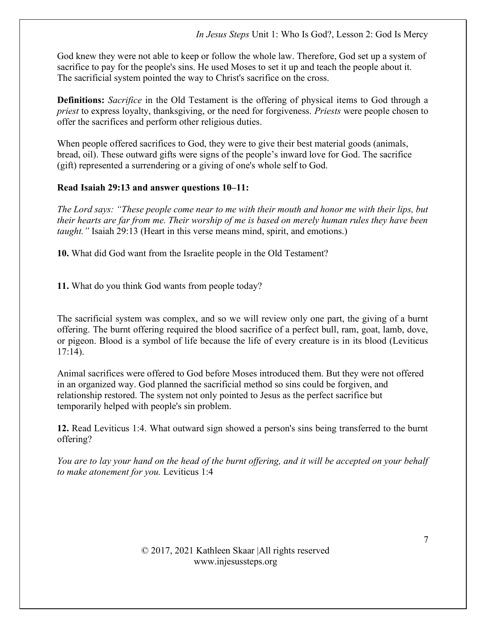God knew they were not able to keep or follow the whole law. Therefore, God set up a system of sacrifice to pay for the people's sins. He used Moses to set it up and teach the people about it. The sacrificial system pointed the way to Christ's sacrifice on the cross.

Definitions: Sacrifice in the Old Testament is the offering of physical items to God through a priest to express loyalty, thanksgiving, or the need for forgiveness. Priests were people chosen to offer the sacrifices and perform other religious duties.

When people offered sacrifices to God, they were to give their best material goods (animals, bread, oil). These outward gifts were signs of the people's inward love for God. The sacrifice (gift) represented a surrendering or a giving of one's whole self to God.

# Read Isaiah 29:13 and answer questions 10–11:

The Lord says: "These people come near to me with their mouth and honor me with their lips, but their hearts are far from me. Their worship of me is based on merely human rules they have been taught." Isaiah 29:13 (Heart in this verse means mind, spirit, and emotions.)

10. What did God want from the Israelite people in the Old Testament?

11. What do you think God wants from people today?

The sacrificial system was complex, and so we will review only one part, the giving of a burnt offering. The burnt offering required the blood sacrifice of a perfect bull, ram, goat, lamb, dove, or pigeon. Blood is a symbol of life because the life of every creature is in its blood (Leviticus 17:14).

Animal sacrifices were offered to God before Moses introduced them. But they were not offered in an organized way. God planned the sacrificial method so sins could be forgiven, and relationship restored. The system not only pointed to Jesus as the perfect sacrifice but temporarily helped with people's sin problem.

12. Read Leviticus 1:4. What outward sign showed a person's sins being transferred to the burnt offering?

You are to lay your hand on the head of the burnt offering, and it will be accepted on your behalf to make atonement for you. Leviticus 1:4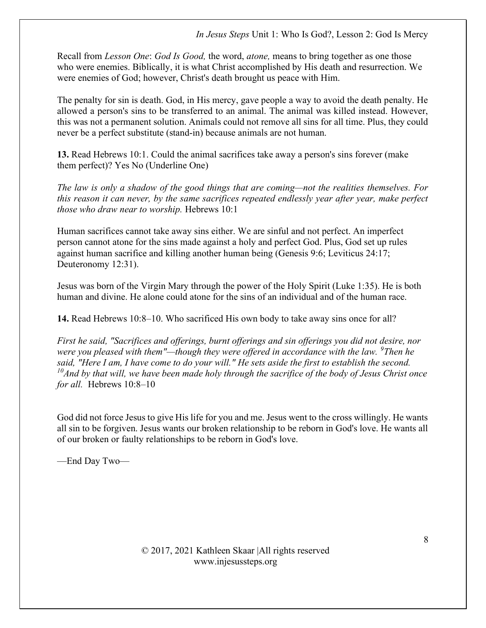Recall from Lesson One: God Is Good, the word, atone, means to bring together as one those who were enemies. Biblically, it is what Christ accomplished by His death and resurrection. We were enemies of God; however, Christ's death brought us peace with Him.

The penalty for sin is death. God, in His mercy, gave people a way to avoid the death penalty. He allowed a person's sins to be transferred to an animal. The animal was killed instead. However, this was not a permanent solution. Animals could not remove all sins for all time. Plus, they could never be a perfect substitute (stand-in) because animals are not human.

13. Read Hebrews 10:1. Could the animal sacrifices take away a person's sins forever (make them perfect)? Yes No (Underline One)

The law is only a shadow of the good things that are coming—not the realities themselves. For this reason it can never, by the same sacrifices repeated endlessly year after year, make perfect those who draw near to worship. Hebrews 10:1

Human sacrifices cannot take away sins either. We are sinful and not perfect. An imperfect person cannot atone for the sins made against a holy and perfect God. Plus, God set up rules against human sacrifice and killing another human being (Genesis 9:6; Leviticus 24:17; Deuteronomy 12:31).

Jesus was born of the Virgin Mary through the power of the Holy Spirit (Luke 1:35). He is both human and divine. He alone could atone for the sins of an individual and of the human race.

14. Read Hebrews 10:8–10. Who sacrificed His own body to take away sins once for all?

First he said, "Sacrifices and offerings, burnt offerings and sin offerings you did not desire, nor were you pleased with them"—though they were offered in accordance with the law.  $\degree$ Then he said, "Here I am, I have come to do your will." He sets aside the first to establish the second.  $10$ And by that will, we have been made holy through the sacrifice of the body of Jesus Christ once for all. Hebrews  $10:8-10$ 

God did not force Jesus to give His life for you and me. Jesus went to the cross willingly. He wants all sin to be forgiven. Jesus wants our broken relationship to be reborn in God's love. He wants all of our broken or faulty relationships to be reborn in God's love.

—End Day Two—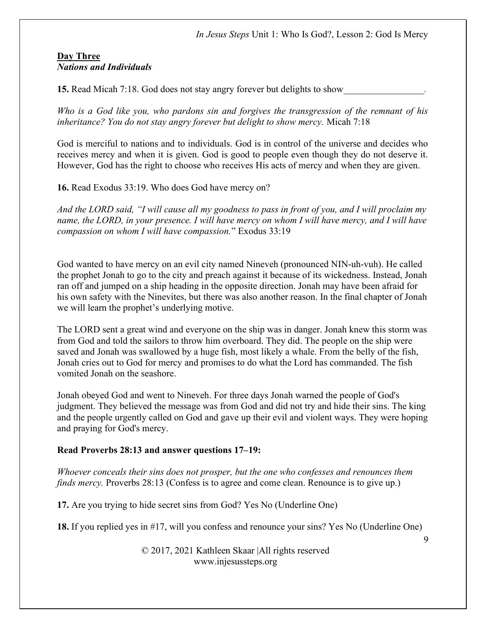#### Day Three Nations and Individuals

15. Read Micah 7:18. God does not stay angry forever but delights to show

Who is a God like you, who pardons sin and forgives the transgression of the remnant of his inheritance? You do not stay angry forever but delight to show mercy. Micah 7:18

God is merciful to nations and to individuals. God is in control of the universe and decides who receives mercy and when it is given. God is good to people even though they do not deserve it. However, God has the right to choose who receives His acts of mercy and when they are given.

16. Read Exodus 33:19. Who does God have mercy on?

And the LORD said, "I will cause all my goodness to pass in front of you, and I will proclaim my name, the LORD, in your presence. I will have mercy on whom I will have mercy, and I will have compassion on whom I will have compassion." Exodus 33:19

God wanted to have mercy on an evil city named Nineveh (pronounced NIN-uh-vuh). He called the prophet Jonah to go to the city and preach against it because of its wickedness. Instead, Jonah ran off and jumped on a ship heading in the opposite direction. Jonah may have been afraid for his own safety with the Ninevites, but there was also another reason. In the final chapter of Jonah we will learn the prophet's underlying motive.

The LORD sent a great wind and everyone on the ship was in danger. Jonah knew this storm was from God and told the sailors to throw him overboard. They did. The people on the ship were saved and Jonah was swallowed by a huge fish, most likely a whale. From the belly of the fish, Jonah cries out to God for mercy and promises to do what the Lord has commanded. The fish vomited Jonah on the seashore.

Jonah obeyed God and went to Nineveh. For three days Jonah warned the people of God's judgment. They believed the message was from God and did not try and hide their sins. The king and the people urgently called on God and gave up their evil and violent ways. They were hoping and praying for God's mercy.

## Read Proverbs 28:13 and answer questions 17–19:

Whoever conceals their sins does not prosper, but the one who confesses and renounces them finds mercy. Proverbs 28:13 (Confess is to agree and come clean. Renounce is to give up.)

17. Are you trying to hide secret sins from God? Yes No (Underline One)

18. If you replied yes in #17, will you confess and renounce your sins? Yes No (Underline One)

© 2017, 2021 Kathleen Skaar |All rights reserved www.injesussteps.org

 $\overline{Q}$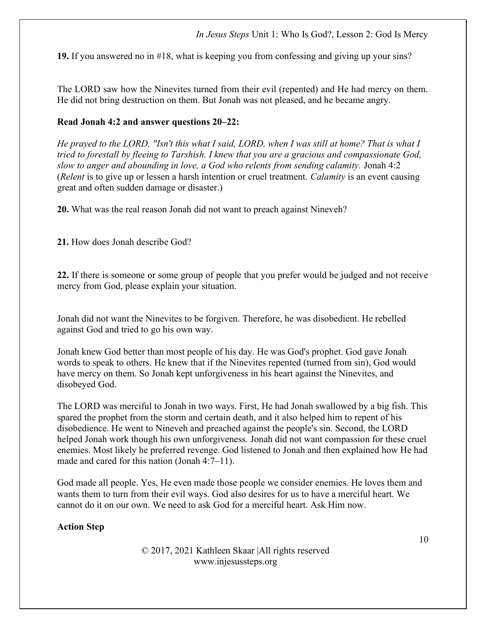19. If you answered no in #18, what is keeping you from confessing and giving up your sins?

The LORD saw how the Ninevites turned from their evil (repented) and He had mercy on them. He did not bring destruction on them. But Jonah was not pleased, and he became angry.

#### Read Jonah 4:2 and answer questions 20–22:

He prayed to the LORD, "Isn't this what I said, LORD, when I was still at home? That is what I tried to forestall by fleeing to Tarshish. I knew that you are a gracious and compassionate God, slow to anger and abounding in love, a God who relents from sending calamity. Jonah 4:2 (Relent is to give up or lessen a harsh intention or cruel treatment. Calamity is an event causing great and often sudden damage or disaster.)

20. What was the real reason Jonah did not want to preach against Nineveh?

21. How does Jonah describe God?

22. If there is someone or some group of people that you prefer would be judged and not receive mercy from God, please explain your situation.

Jonah did not want the Ninevites to be forgiven. Therefore, he was disobedient. He rebelled against God and tried to go his own way.

Jonah knew God better than most people of his day. He was God's prophet. God gave Jonah words to speak to others. He knew that if the Ninevites repented (turned from sin), God would have mercy on them. So Jonah kept unforgiveness in his heart against the Ninevites, and disobeyed God.

The LORD was merciful to Jonah in two ways. First, He had Jonah swallowed by a big fish. This spared the prophet from the storm and certain death, and it also helped him to repent of his disobedience. He went to Nineveh and preached against the people's sin. Second, the LORD helped Jonah work though his own unforgiveness. Jonah did not want compassion for these cruel enemies. Most likely he preferred revenge. God listened to Jonah and then explained how He had made and cared for this nation (Jonah 4:7–11).

God made all people. Yes, He even made those people we consider enemies. He loves them and wants them to turn from their evil ways. God also desires for us to have a merciful heart. We cannot do it on our own. We need to ask God for a merciful heart. Ask Him now.

## Action Step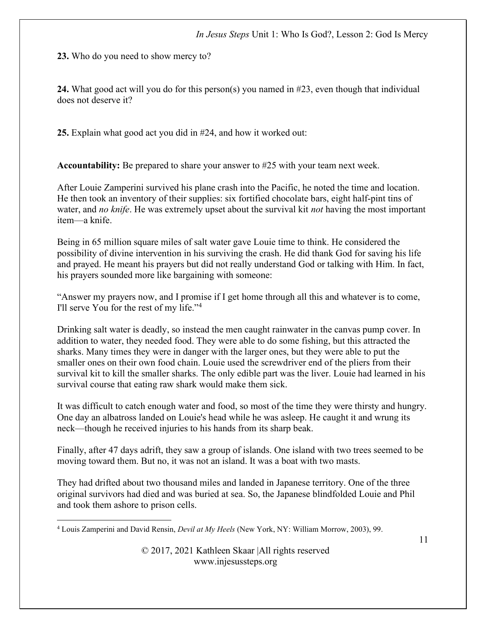23. Who do you need to show mercy to?

24. What good act will you do for this person(s) you named in #23, even though that individual does not deserve it?

25. Explain what good act you did in #24, and how it worked out:

Accountability: Be prepared to share your answer to #25 with your team next week.

After Louie Zamperini survived his plane crash into the Pacific, he noted the time and location. He then took an inventory of their supplies: six fortified chocolate bars, eight half-pint tins of water, and no knife. He was extremely upset about the survival kit not having the most important item—a knife.

Being in 65 million square miles of salt water gave Louie time to think. He considered the possibility of divine intervention in his surviving the crash. He did thank God for saving his life and prayed. He meant his prayers but did not really understand God or talking with Him. In fact, his prayers sounded more like bargaining with someone:

"Answer my prayers now, and I promise if I get home through all this and whatever is to come, I'll serve You for the rest of my life."<sup>4</sup>

Drinking salt water is deadly, so instead the men caught rainwater in the canvas pump cover. In addition to water, they needed food. They were able to do some fishing, but this attracted the sharks. Many times they were in danger with the larger ones, but they were able to put the smaller ones on their own food chain. Louie used the screwdriver end of the pliers from their survival kit to kill the smaller sharks. The only edible part was the liver. Louie had learned in his survival course that eating raw shark would make them sick.

It was difficult to catch enough water and food, so most of the time they were thirsty and hungry. One day an albatross landed on Louie's head while he was asleep. He caught it and wrung its neck—though he received injuries to his hands from its sharp beak.

Finally, after 47 days adrift, they saw a group of islands. One island with two trees seemed to be moving toward them. But no, it was not an island. It was a boat with two masts.

They had drifted about two thousand miles and landed in Japanese territory. One of the three original survivors had died and was buried at sea. So, the Japanese blindfolded Louie and Phil and took them ashore to prison cells.

<sup>&</sup>lt;sup>4</sup> Louis Zamperini and David Rensin, *Devil at My Heels* (New York, NY: William Morrow, 2003), 99.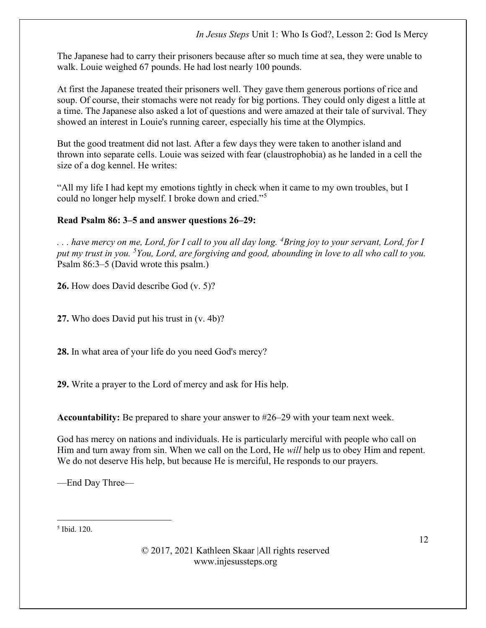The Japanese had to carry their prisoners because after so much time at sea, they were unable to walk. Louie weighed 67 pounds. He had lost nearly 100 pounds.

At first the Japanese treated their prisoners well. They gave them generous portions of rice and soup. Of course, their stomachs were not ready for big portions. They could only digest a little at a time. The Japanese also asked a lot of questions and were amazed at their tale of survival. They showed an interest in Louie's running career, especially his time at the Olympics.

But the good treatment did not last. After a few days they were taken to another island and thrown into separate cells. Louie was seized with fear (claustrophobia) as he landed in a cell the size of a dog kennel. He writes:

"All my life I had kept my emotions tightly in check when it came to my own troubles, but I could no longer help myself. I broke down and cried."<sup>5</sup>

# Read Psalm 86: 3–5 and answer questions 26–29:

 $\ldots$  have mercy on me, Lord, for I call to you all day long. <sup>4</sup>Bring joy to your servant, Lord, for I put my trust in you.  $5$ You, Lord, are forgiving and good, abounding in love to all who call to you. Psalm 86:3–5 (David wrote this psalm.)

26. How does David describe God (v. 5)?

27. Who does David put his trust in (v. 4b)?

28. In what area of your life do you need God's mercy?

29. Write a prayer to the Lord of mercy and ask for His help.

Accountability: Be prepared to share your answer to #26–29 with your team next week.

God has mercy on nations and individuals. He is particularly merciful with people who call on Him and turn away from sin. When we call on the Lord, He will help us to obey Him and repent. We do not deserve His help, but because He is merciful, He responds to our prayers.

—End Day Three—

5 Ibid. 120.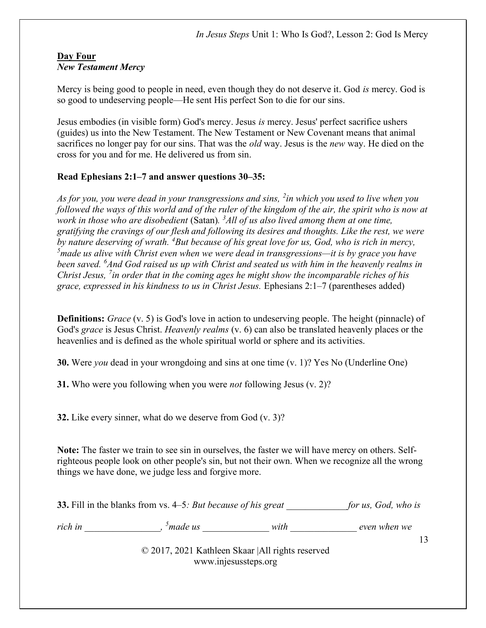#### Day Four New Testament Mercy

Mercy is being good to people in need, even though they do not deserve it. God is mercy. God is so good to undeserving people—He sent His perfect Son to die for our sins.

Jesus embodies (in visible form) God's mercy. Jesus is mercy. Jesus' perfect sacrifice ushers (guides) us into the New Testament. The New Testament or New Covenant means that animal sacrifices no longer pay for our sins. That was the *old* way. Jesus is the *new* way. He died on the cross for you and for me. He delivered us from sin.

# Read Ephesians 2:1–7 and answer questions 30–35:

As for you, you were dead in your transgressions and sins, <sup>2</sup>in which you used to live when you followed the ways of this world and of the ruler of the kingdom of the air, the spirit who is now at work in those who are disobedient (Satan).  $3$ All of us also lived among them at one time, gratifying the cravings of our flesh and following its desires and thoughts. Like the rest, we were by nature deserving of wrath.  ${}^{4}$ But because of his great love for us, God, who is rich in mercy,  $<sup>5</sup>$ made us alive with Christ even when we were dead in transgressions—it is by grace you have</sup> been saved.  $^{6}$ And God raised us up with Christ and seated us with him in the heavenly realms in Christ Jesus,  $\frac{7}{10}$  order that in the coming ages he might show the incomparable riches of his grace, expressed in his kindness to us in Christ Jesus. Ephesians 2:1–7 (parentheses added)

**Definitions:** Grace (v. 5) is God's love in action to undeserving people. The height (pinnacle) of God's grace is Jesus Christ. Heavenly realms (v. 6) can also be translated heavenly places or the heavenlies and is defined as the whole spiritual world or sphere and its activities.

30. Were you dead in your wrongdoing and sins at one time (v. 1)? Yes No (Underline One)

**31.** Who were you following when you were *not* following Jesus (v. 2)?

32. Like every sinner, what do we deserve from God (v. 3)?

Note: The faster we train to see sin in ourselves, the faster we will have mercy on others. Selfrighteous people look on other people's sin, but not their own. When we recognize all the wrong things we have done, we judge less and forgive more.

|                                                   | <b>33.</b> Fill in the blanks from vs. 4–5: But because of his great |      | for us, God, who is |
|---------------------------------------------------|----------------------------------------------------------------------|------|---------------------|
| rich in                                           | $5$ made us                                                          | with | even when we        |
| © 2017, 2021 Kathleen Skaar   All rights reserved |                                                                      |      |                     |

www.injesussteps.org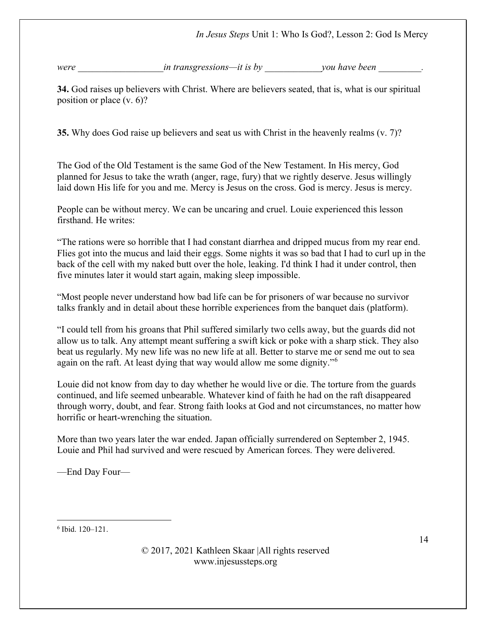were the contractions in transgressions—it is by the vou have been  $\mathcal{V}$ 

34. God raises up believers with Christ. Where are believers seated, that is, what is our spiritual position or place (v. 6)?

35. Why does God raise up believers and seat us with Christ in the heavenly realms (v. 7)?

The God of the Old Testament is the same God of the New Testament. In His mercy, God planned for Jesus to take the wrath (anger, rage, fury) that we rightly deserve. Jesus willingly laid down His life for you and me. Mercy is Jesus on the cross. God is mercy. Jesus is mercy.

People can be without mercy. We can be uncaring and cruel. Louie experienced this lesson firsthand. He writes:

"The rations were so horrible that I had constant diarrhea and dripped mucus from my rear end. Flies got into the mucus and laid their eggs. Some nights it was so bad that I had to curl up in the back of the cell with my naked butt over the hole, leaking. I'd think I had it under control, then five minutes later it would start again, making sleep impossible.

"Most people never understand how bad life can be for prisoners of war because no survivor talks frankly and in detail about these horrible experiences from the banquet dais (platform).

"I could tell from his groans that Phil suffered similarly two cells away, but the guards did not allow us to talk. Any attempt meant suffering a swift kick or poke with a sharp stick. They also beat us regularly. My new life was no new life at all. Better to starve me or send me out to sea again on the raft. At least dying that way would allow me some dignity."<sup>6</sup>

Louie did not know from day to day whether he would live or die. The torture from the guards continued, and life seemed unbearable. Whatever kind of faith he had on the raft disappeared through worry, doubt, and fear. Strong faith looks at God and not circumstances, no matter how horrific or heart-wrenching the situation.

More than two years later the war ended. Japan officially surrendered on September 2, 1945. Louie and Phil had survived and were rescued by American forces. They were delivered.

—End Day Four—

6 Ibid. 120–121.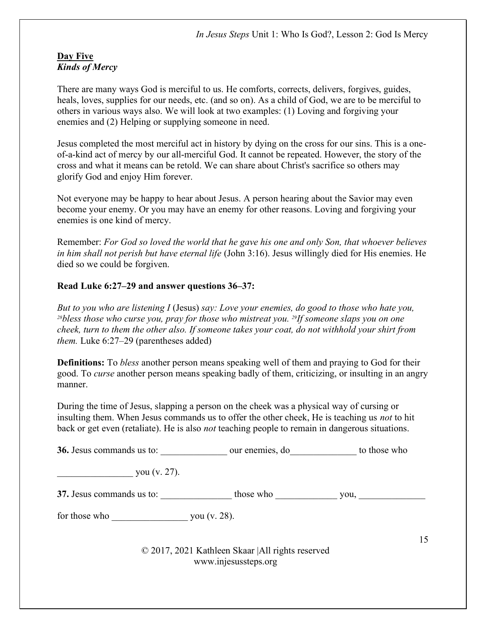#### Day Five Kinds of Mercy

There are many ways God is merciful to us. He comforts, corrects, delivers, forgives, guides, heals, loves, supplies for our needs, etc. (and so on). As a child of God, we are to be merciful to others in various ways also. We will look at two examples: (1) Loving and forgiving your enemies and (2) Helping or supplying someone in need.

Jesus completed the most merciful act in history by dying on the cross for our sins. This is a oneof-a-kind act of mercy by our all-merciful God. It cannot be repeated. However, the story of the cross and what it means can be retold. We can share about Christ's sacrifice so others may glorify God and enjoy Him forever.

Not everyone may be happy to hear about Jesus. A person hearing about the Savior may even become your enemy. Or you may have an enemy for other reasons. Loving and forgiving your enemies is one kind of mercy.

Remember: For God so loved the world that he gave his one and only Son, that whoever believes in him shall not perish but have eternal life (John 3:16). Jesus willingly died for His enemies. He died so we could be forgiven.

## Read Luke 6:27–29 and answer questions 36–37:

But to you who are listening I (Jesus) say: Love your enemies, do good to those who hate you,  $28b$ less those who curse you, pray for those who mistreat you.  $29If$  someone slaps you on one cheek, turn to them the other also. If someone takes your coat, do not withhold your shirt from them. Luke 6:27–29 (parentheses added)

**Definitions:** To *bless* another person means speaking well of them and praying to God for their good. To curse another person means speaking badly of them, criticizing, or insulting in an angry manner.

During the time of Jesus, slapping a person on the cheek was a physical way of cursing or insulting them. When Jesus commands us to offer the other cheek, He is teaching us *not* to hit back or get even (retaliate). He is also not teaching people to remain in dangerous situations.

|  | 36. Jesus commands us to: | our enemies, do | to those who |
|--|---------------------------|-----------------|--------------|
|--|---------------------------|-----------------|--------------|

you (v. 27).

37. Jesus commands us to: \_\_\_\_\_\_\_\_\_\_\_\_\_\_\_ those who \_\_\_\_\_\_\_\_\_\_\_\_\_ you, \_\_\_\_\_\_\_\_\_\_\_\_\_\_

for those who  $\gamma$  you (v. 28).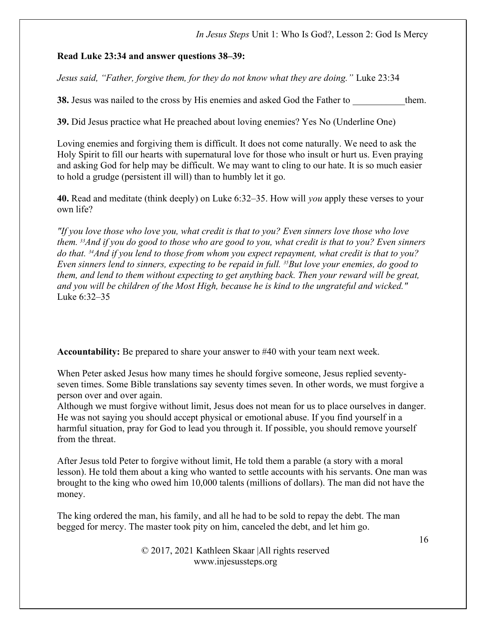#### Read Luke 23:34 and answer questions 38–39:

Jesus said, "Father, forgive them, for they do not know what they are doing." Luke 23:34

38. Jesus was nailed to the cross by His enemies and asked God the Father to them.

39. Did Jesus practice what He preached about loving enemies? Yes No (Underline One)

Loving enemies and forgiving them is difficult. It does not come naturally. We need to ask the Holy Spirit to fill our hearts with supernatural love for those who insult or hurt us. Even praying and asking God for help may be difficult. We may want to cling to our hate. It is so much easier to hold a grudge (persistent ill will) than to humbly let it go.

40. Read and meditate (think deeply) on Luke 6:32-35. How will you apply these verses to your own life?

"If you love those who love you, what credit is that to you? Even sinners love those who love them. <sup>33</sup>And if you do good to those who are good to you, what credit is that to you? Even sinners do that.  $34$ And if you lend to those from whom you expect repayment, what credit is that to you? Even sinners lend to sinners, expecting to be repaid in full.  $35$ But love your enemies, do good to them, and lend to them without expecting to get anything back. Then your reward will be great, and you will be children of the Most High, because he is kind to the ungrateful and wicked." Luke 6:32–35

Accountability: Be prepared to share your answer to #40 with your team next week.

When Peter asked Jesus how many times he should forgive someone, Jesus replied seventyseven times. Some Bible translations say seventy times seven. In other words, we must forgive a person over and over again.

Although we must forgive without limit, Jesus does not mean for us to place ourselves in danger. He was not saying you should accept physical or emotional abuse. If you find yourself in a harmful situation, pray for God to lead you through it. If possible, you should remove yourself from the threat.

After Jesus told Peter to forgive without limit, He told them a parable (a story with a moral lesson). He told them about a king who wanted to settle accounts with his servants. One man was brought to the king who owed him 10,000 talents (millions of dollars). The man did not have the money.

The king ordered the man, his family, and all he had to be sold to repay the debt. The man begged for mercy. The master took pity on him, canceled the debt, and let him go.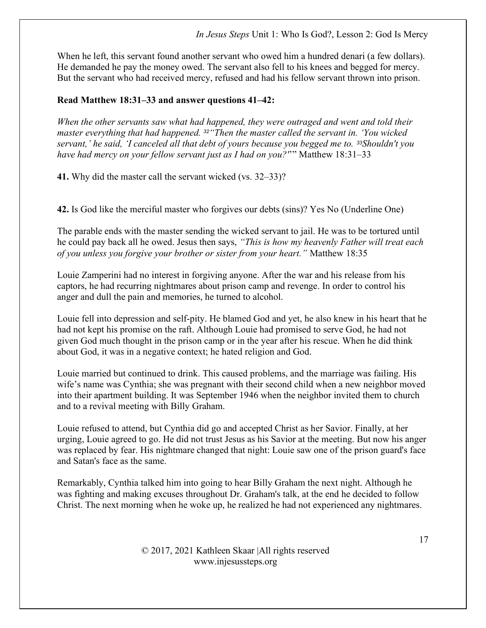When he left, this servant found another servant who owed him a hundred denari (a few dollars). He demanded he pay the money owed. The servant also fell to his knees and begged for mercy. But the servant who had received mercy, refused and had his fellow servant thrown into prison.

## Read Matthew 18:31–33 and answer questions 41–42:

When the other servants saw what had happened, they were outraged and went and told their master everything that had happened. <sup>32</sup>"Then the master called the servant in. 'You wicked servant,' he said, 'I canceled all that debt of yours because you begged me to. 33Shouldn't you have had mercy on your fellow servant just as I had on you?"" Matthew 18:31–33

41. Why did the master call the servant wicked (vs. 32–33)?

42. Is God like the merciful master who forgives our debts (sins)? Yes No (Underline One)

The parable ends with the master sending the wicked servant to jail. He was to be tortured until he could pay back all he owed. Jesus then says, "This is how my heavenly Father will treat each of you unless you forgive your brother or sister from your heart." Matthew 18:35

Louie Zamperini had no interest in forgiving anyone. After the war and his release from his captors, he had recurring nightmares about prison camp and revenge. In order to control his anger and dull the pain and memories, he turned to alcohol.

Louie fell into depression and self-pity. He blamed God and yet, he also knew in his heart that he had not kept his promise on the raft. Although Louie had promised to serve God, he had not given God much thought in the prison camp or in the year after his rescue. When he did think about God, it was in a negative context; he hated religion and God.

Louie married but continued to drink. This caused problems, and the marriage was failing. His wife's name was Cynthia; she was pregnant with their second child when a new neighbor moved into their apartment building. It was September 1946 when the neighbor invited them to church and to a revival meeting with Billy Graham.

Louie refused to attend, but Cynthia did go and accepted Christ as her Savior. Finally, at her urging, Louie agreed to go. He did not trust Jesus as his Savior at the meeting. But now his anger was replaced by fear. His nightmare changed that night: Louie saw one of the prison guard's face and Satan's face as the same.

Remarkably, Cynthia talked him into going to hear Billy Graham the next night. Although he was fighting and making excuses throughout Dr. Graham's talk, at the end he decided to follow Christ. The next morning when he woke up, he realized he had not experienced any nightmares.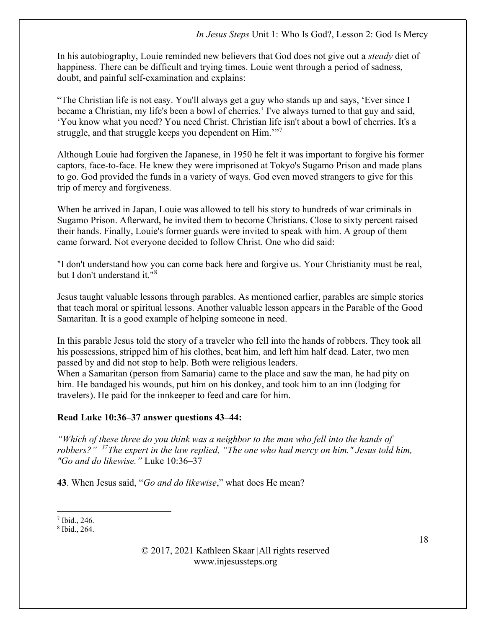In his autobiography, Louie reminded new believers that God does not give out a *steady* diet of happiness. There can be difficult and trying times. Louie went through a period of sadness, doubt, and painful self-examination and explains:

"The Christian life is not easy. You'll always get a guy who stands up and says, 'Ever since I became a Christian, my life's been a bowl of cherries.' I've always turned to that guy and said, 'You know what you need? You need Christ. Christian life isn't about a bowl of cherries. It's a struggle, and that struggle keeps you dependent on Him."<sup>7</sup>

Although Louie had forgiven the Japanese, in 1950 he felt it was important to forgive his former captors, face-to-face. He knew they were imprisoned at Tokyo's Sugamo Prison and made plans to go. God provided the funds in a variety of ways. God even moved strangers to give for this trip of mercy and forgiveness.

When he arrived in Japan, Louie was allowed to tell his story to hundreds of war criminals in Sugamo Prison. Afterward, he invited them to become Christians. Close to sixty percent raised their hands. Finally, Louie's former guards were invited to speak with him. A group of them came forward. Not everyone decided to follow Christ. One who did said:

"I don't understand how you can come back here and forgive us. Your Christianity must be real, but I don't understand it."<sup>8</sup>

Jesus taught valuable lessons through parables. As mentioned earlier, parables are simple stories that teach moral or spiritual lessons. Another valuable lesson appears in the Parable of the Good Samaritan. It is a good example of helping someone in need.

In this parable Jesus told the story of a traveler who fell into the hands of robbers. They took all his possessions, stripped him of his clothes, beat him, and left him half dead. Later, two men passed by and did not stop to help. Both were religious leaders.

When a Samaritan (person from Samaria) came to the place and saw the man, he had pity on him. He bandaged his wounds, put him on his donkey, and took him to an inn (lodging for travelers). He paid for the innkeeper to feed and care for him.

## Read Luke 10:36–37 answer questions 43–44:

"Which of these three do you think was a neighbor to the man who fell into the hands of robbers?"  $37$ The expert in the law replied, "The one who had mercy on him." Jesus told him, "Go and do likewise." Luke 10:36–37

43. When Jesus said, "Go and do likewise," what does He mean?

 $<sup>7</sup>$  Ibid., 246.</sup>

<sup>8</sup> Ibid., 264.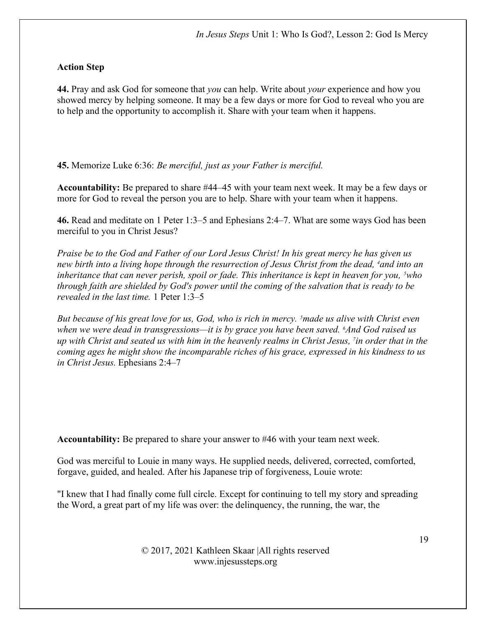# Action Step

44. Pray and ask God for someone that you can help. Write about your experience and how you showed mercy by helping someone. It may be a few days or more for God to reveal who you are to help and the opportunity to accomplish it. Share with your team when it happens.

45. Memorize Luke 6:36: Be merciful, just as your Father is merciful.

Accountability: Be prepared to share #44–45 with your team next week. It may be a few days or more for God to reveal the person you are to help. Share with your team when it happens.

46. Read and meditate on 1 Peter 1:3–5 and Ephesians 2:4–7. What are some ways God has been merciful to you in Christ Jesus?

Praise be to the God and Father of our Lord Jesus Christ! In his great mercy he has given us new birth into a living hope through the resurrection of Jesus Christ from the dead, <sup>4</sup>and into an inheritance that can never perish, spoil or fade. This inheritance is kept in heaven for you,  $5$ who through faith are shielded by God's power until the coming of the salvation that is ready to be revealed in the last time. 1 Peter 1:3–5

But because of his great love for us, God, who is rich in mercy. <sup>5</sup> made us alive with Christ even when we were dead in transgressions—it is by grace you have been saved.  $6$ And God raised us up with Christ and seated us with him in the heavenly realms in Christ Jesus, <sup>7</sup> in order that in the coming ages he might show the incomparable riches of his grace, expressed in his kindness to us in Christ Jesus. Ephesians 2:4–7

Accountability: Be prepared to share your answer to #46 with your team next week.

God was merciful to Louie in many ways. He supplied needs, delivered, corrected, comforted, forgave, guided, and healed. After his Japanese trip of forgiveness, Louie wrote:

"I knew that I had finally come full circle. Except for continuing to tell my story and spreading the Word, a great part of my life was over: the delinquency, the running, the war, the